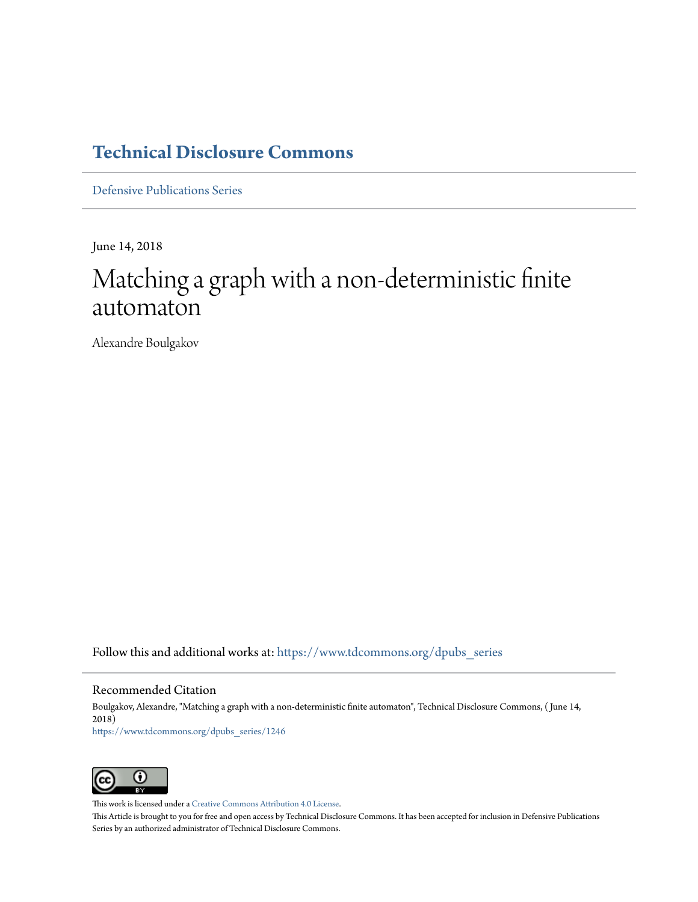## **[Technical Disclosure Commons](https://www.tdcommons.org?utm_source=www.tdcommons.org%2Fdpubs_series%2F1246&utm_medium=PDF&utm_campaign=PDFCoverPages)**

[Defensive Publications Series](https://www.tdcommons.org/dpubs_series?utm_source=www.tdcommons.org%2Fdpubs_series%2F1246&utm_medium=PDF&utm_campaign=PDFCoverPages)

June 14, 2018

# Matching a graph with a non-deterministic finite automaton

Alexandre Boulgakov

Follow this and additional works at: [https://www.tdcommons.org/dpubs\\_series](https://www.tdcommons.org/dpubs_series?utm_source=www.tdcommons.org%2Fdpubs_series%2F1246&utm_medium=PDF&utm_campaign=PDFCoverPages)

### Recommended Citation

Boulgakov, Alexandre, "Matching a graph with a non-deterministic finite automaton", Technical Disclosure Commons, ( June 14, 2018) [https://www.tdcommons.org/dpubs\\_series/1246](https://www.tdcommons.org/dpubs_series/1246?utm_source=www.tdcommons.org%2Fdpubs_series%2F1246&utm_medium=PDF&utm_campaign=PDFCoverPages)



This work is licensed under a [Creative Commons Attribution 4.0 License.](http://creativecommons.org/licenses/by/4.0/deed.en_US)

This Article is brought to you for free and open access by Technical Disclosure Commons. It has been accepted for inclusion in Defensive Publications Series by an authorized administrator of Technical Disclosure Commons.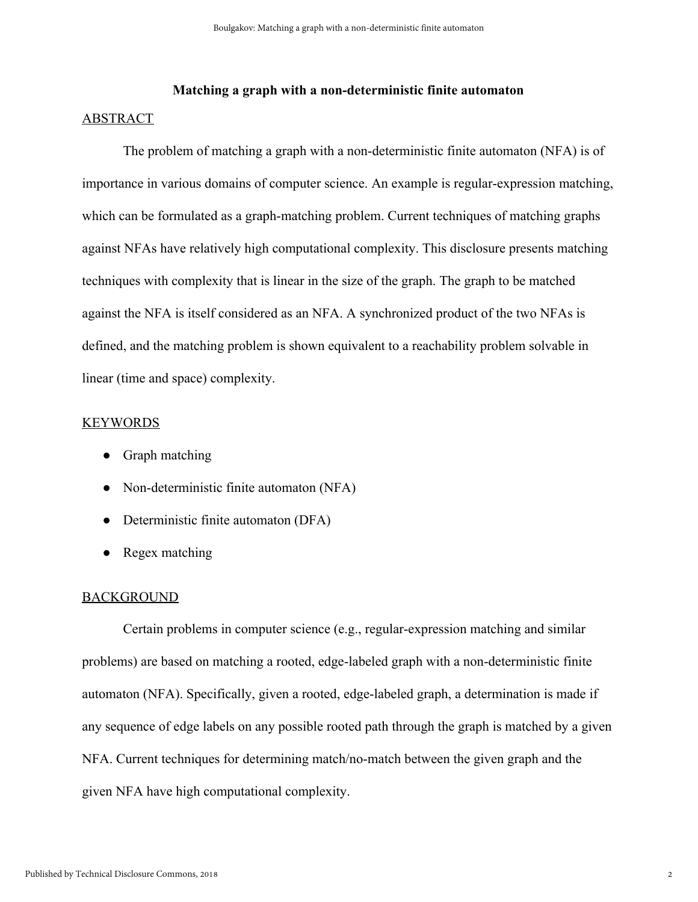#### **Matching a graph with a non-deterministic finite automaton**

#### ABSTRACT

The problem of matching a graph with a non-deterministic finite automaton (NFA) is of importance in various domains of computer science. An example is regular-expression matching, which can be formulated as a graph-matching problem. Current techniques of matching graphs against NFAs have relatively high computational complexity. This disclosure presents matching techniques with complexity that is linear in the size of the graph. The graph to be matched against the NFA is itself considered as an NFA. A synchronized product of the two NFAs is defined, and the matching problem is shown equivalent to a reachability problem solvable in linear (time and space) complexity.

#### KEYWORDS

- Graph matching
- Non-deterministic finite automaton (NFA)
- Deterministic finite automaton (DFA)
- Regex matching

#### BACKGROUND

Certain problems in computer science (e.g., regular-expression matching and similar problems) are based on matching a rooted, edge-labeled graph with a non-deterministic finite automaton (NFA). Specifically, given a rooted, edge-labeled graph, a determination is made if any sequence of edge labels on any possible rooted path through the graph is matched by a given NFA. Current techniques for determining match/no-match between the given graph and the given NFA have high computational complexity.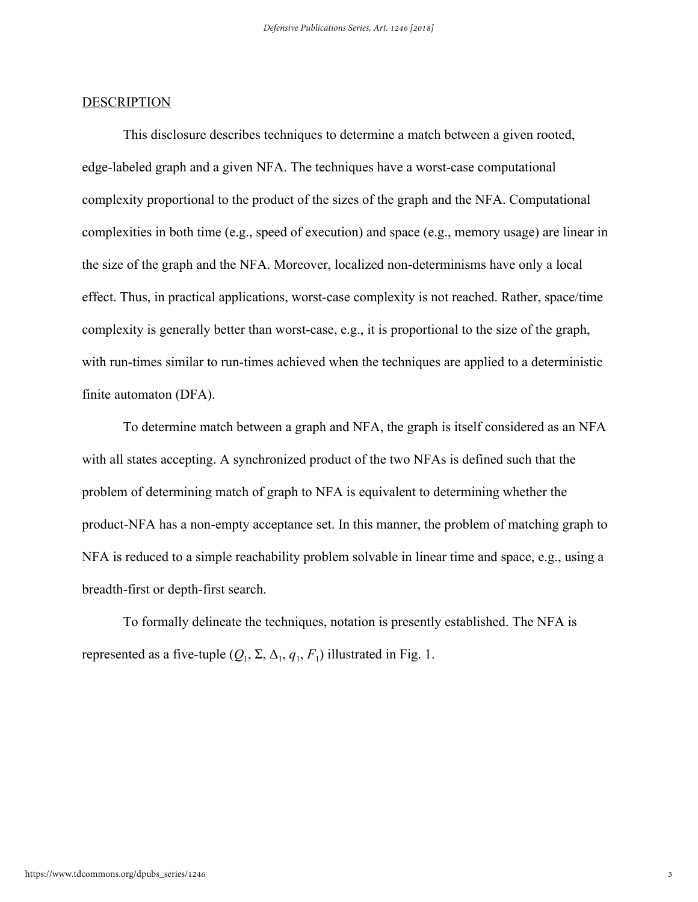#### DESCRIPTION

This disclosure describes techniques to determine a match between a given rooted, edge-labeled graph and a given NFA. The techniques have a worst-case computational complexity proportional to the product of the sizes of the graph and the NFA. Computational complexities in both time (e.g., speed of execution) and space (e.g., memory usage) are linear in the size of the graph and the NFA. Moreover, localized non-determinisms have only a local effect. Thus, in practical applications, worst-case complexity is not reached. Rather, space/time complexity is generally better than worst-case, e.g., it is proportional to the size of the graph, with run-times similar to run-times achieved when the techniques are applied to a deterministic finite automaton (DFA).

To determine match between a graph and NFA, the graph is itself considered as an NFA with all states accepting. A synchronized product of the two NFAs is defined such that the problem of determining match of graph to NFA is equivalent to determining whether the product-NFA has a non-empty acceptance set. In this manner, the problem of matching graph to NFA is reduced to a simple reachability problem solvable in linear time and space, e.g., using a breadth-first or depth-first search.

To formally delineate the techniques, notation is presently established. The NFA is represented as a five-tuple  $(Q_1, \Sigma, \Delta_1, q_1, F_1)$  illustrated in Fig. 1.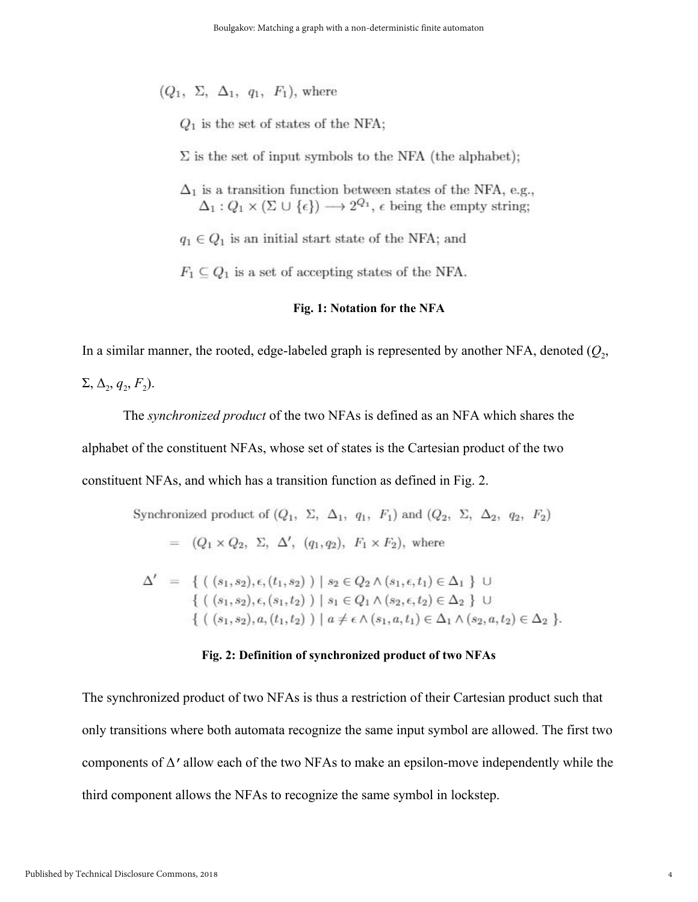$(Q_1, \Sigma, \Delta_1, q_1, F_1)$ , where

 $Q_1$  is the set of states of the NFA;

 $\Sigma$  is the set of input symbols to the NFA (the alphabet);

 $\Delta_1$  is a transition function between states of the NFA, e.g.,  $\Delta_1: Q_1 \times (\Sigma \cup \{\epsilon\}) \longrightarrow 2^{Q_1}, \epsilon$  being the empty string;

 $q_1 \in Q_1$  is an initial start state of the NFA; and

 $F_1 \subseteq Q_1$  is a set of accepting states of the NFA.

#### **Fig. 1: Notation for the NFA**

In a similar manner, the rooted, edge-labeled graph is represented by another NFA, denoted  $(Q_2,$ 

 $\Sigma$ ,  $\Delta$ <sub>2</sub>,  $q$ <sub>2</sub>,  $F$ <sub>2</sub>).

The *synchronized product* of the two NFAs is defined as an NFA which shares the alphabet of the constituent NFAs, whose set of states is the Cartesian product of the two constituent NFAs, and which has a transition function as defined in Fig. 2.

Synchronized product of 
$$
(Q_1, \Sigma, \Delta_1, q_1, F_1)
$$
 and  $(Q_2, \Sigma, \Delta_2, q_2, F_2)$   
\n
$$
= (Q_1 \times Q_2, \Sigma, \Delta', (q_1, q_2), F_1 \times F_2), \text{ where}
$$
\n
$$
\Delta' = \{ ((s_1, s_2), \epsilon, (t_1, s_2)) | s_2 \in Q_2 \wedge (s_1, \epsilon, t_1) \in \Delta_1 \} \cup
$$

 $\{ (s_1, s_2), \epsilon, (s_1, t_2) ) \mid s_1 \in Q_1 \wedge (s_2, \epsilon, t_2) \in \Delta_2 \}$  U  $\{ (s_1, s_2), a, (t_1, t_2) ) \mid a \neq \epsilon \wedge (s_1, a, t_1) \in \Delta_1 \wedge (s_2, a, t_2) \in \Delta_2 \}.$ 

#### **Fig. 2: Definition of synchronized product of two NFAs**

The synchronized product of two NFAs is thus a restriction of their Cartesian product such that only transitions where both automata recognize the same input symbol are allowed. The first two components of  $\Delta'$  allow each of the two NFAs to make an epsilon-move independently while the third component allows the NFAs to recognize the same symbol in lockstep.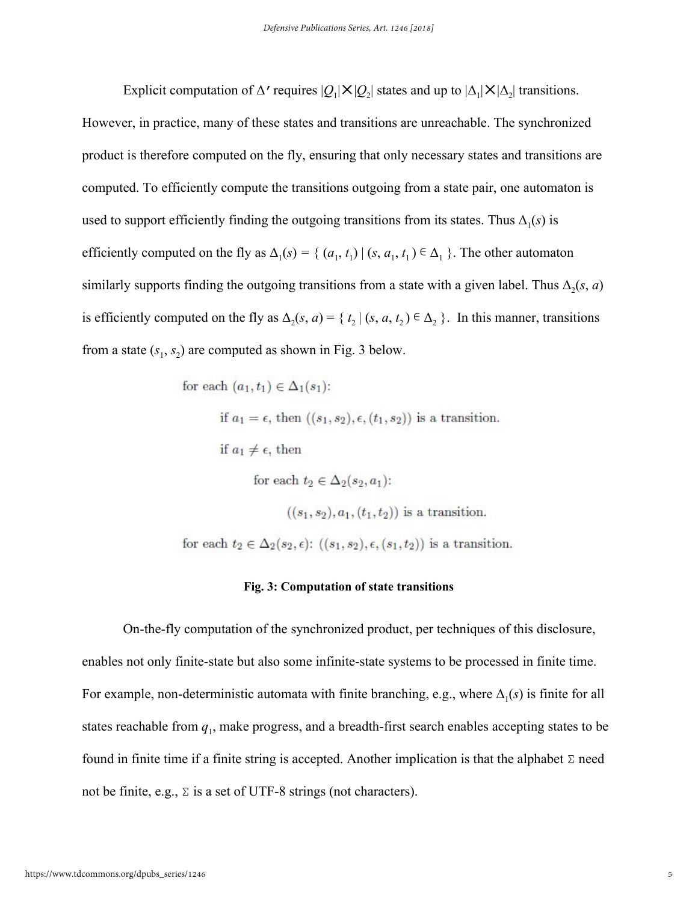Explicit computation of  $\Delta'$  requires  $|Q_1|\times|Q_2|$  states and up to  $|\Delta_1|\times|\Delta_2|$  transitions. However, in practice, many of these states and transitions are unreachable. The synchronized product is therefore computed on the fly, ensuring that only necessary states and transitions are computed. To efficiently compute the transitions outgoing from a state pair, one automaton is used to support efficiently finding the outgoing transitions from its states. Thus  $\Delta_1(s)$  is efficiently computed on the fly as  $\Delta_1(s) = \{ (a_1, t_1) | (s, a_1, t_1) \in \Delta_1 \}$ . The other automaton similarly supports finding the outgoing transitions from a state with a given label. Thus  $\Delta_2(s, a)$ is efficiently computed on the fly as  $\Delta_2(s, a) = \{ t_2 | (s, a, t_2) \in \Delta_2 \}$ . In this manner, transitions from a state  $(s_1, s_2)$  are computed as shown in Fig. 3 below.

for each 
$$
(a_1, t_1) \in \Delta_1(s_1)
$$
:  
\nif  $a_1 = \epsilon$ , then  $((s_1, s_2), \epsilon, (t_1, s_2))$  is a transition.  
\nif  $a_1 \neq \epsilon$ , then  
\nfor each  $t_2 \in \Delta_2(s_2, a_1)$ :  
\n $((s_1, s_2), a_1, (t_1, t_2))$  is a transition.  
\nfor each  $t_2 \in \Delta_2(s_2, \epsilon)$ :  $((s_1, s_2), \epsilon, (s_1, t_2))$  is a transition.

#### **Fig. 3: Computation of state transitions**

On-the-fly computation of the synchronized product, per techniques of this disclosure, enables not only finite-state but also some infinite-state systems to be processed in finite time. For example, non-deterministic automata with finite branching, e.g., where  $\Delta_1(s)$  is finite for all states reachable from *q*<sup>1</sup> , make progress, and a breadth-first search enables accepting states to be found in finite time if a finite string is accepted. Another implication is that the alphabet Σ need not be finite, e.g.,  $\Sigma$  is a set of UTF-8 strings (not characters).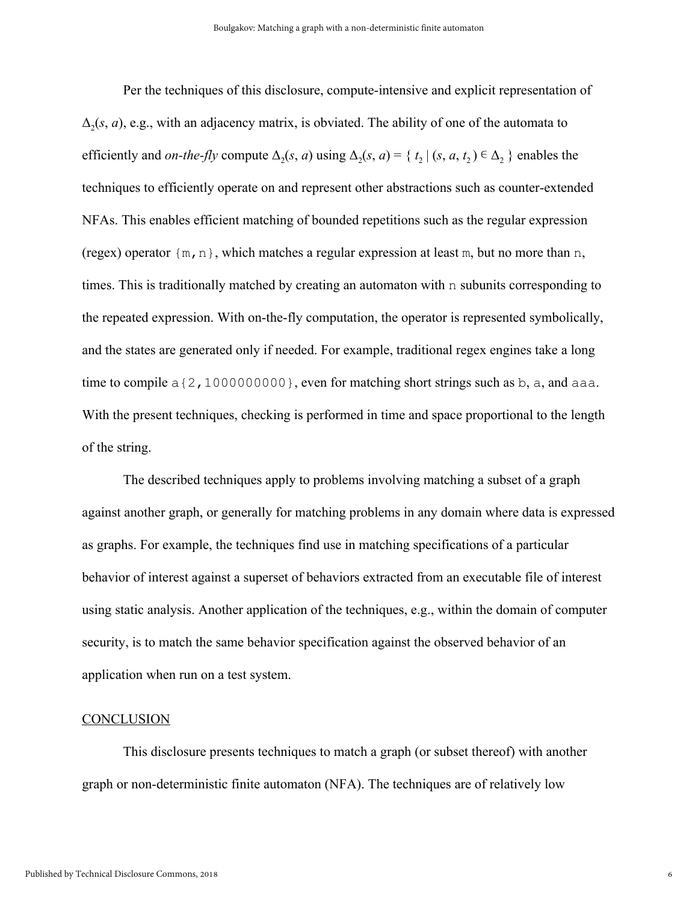Per the techniques of this disclosure, compute-intensive and explicit representation of  $\Delta_2(s, a)$ , e.g., with an adjacency matrix, is obviated. The ability of one of the automata to efficiently and *on-the-fly* compute  $\Delta_2(s, a)$  using  $\Delta_2(s, a) = \{ t_2 | (s, a, t_2) \in \Delta_2 \}$  enables the techniques to efficiently operate on and represent other abstractions such as counter-extended NFAs. This enables efficient matching of bounded repetitions such as the regular expression (regex) operator  $\{m, n\}$ , which matches a regular expression at least m, but no more than n, times. This is traditionally matched by creating an automaton with n subunits corresponding to the repeated expression. With on-the-fly computation, the operator is represented symbolically, and the states are generated only if needed. For example, traditional regex engines take a long time to compile  $a\{2,1000000000\}$ , even for matching short strings such as b, a, and aaa. With the present techniques, checking is performed in time and space proportional to the length of the string.

The described techniques apply to problems involving matching a subset of a graph against another graph, or generally for matching problems in any domain where data is expressed as graphs. For example, the techniques find use in matching specifications of a particular behavior of interest against a superset of behaviors extracted from an executable file of interest using static analysis. Another application of the techniques, e.g., within the domain of computer security, is to match the same behavior specification against the observed behavior of an application when run on a test system.

#### **CONCLUSION**

This disclosure presents techniques to match a graph (or subset thereof) with another graph or non-deterministic finite automaton (NFA). The techniques are of relatively low